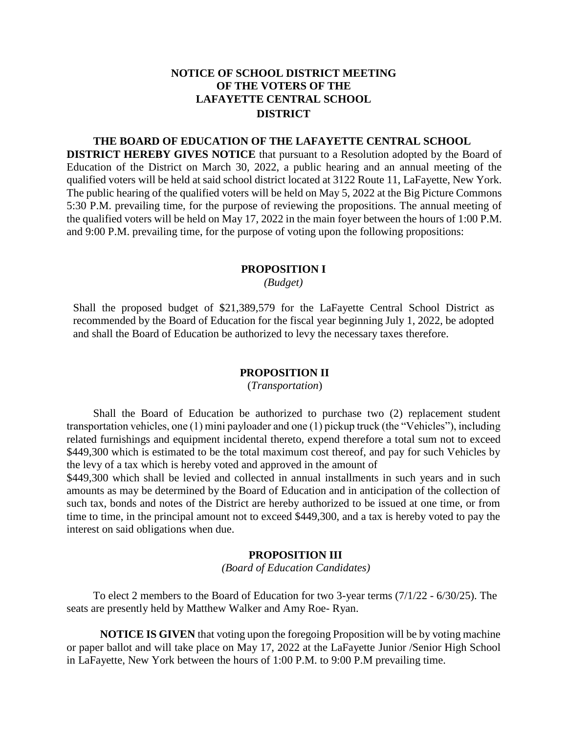# **NOTICE OF SCHOOL DISTRICT MEETING OF THE VOTERS OF THE LAFAYETTE CENTRAL SCHOOL DISTRICT**

## **THE BOARD OF EDUCATION OF THE LAFAYETTE CENTRAL SCHOOL**

**DISTRICT HEREBY GIVES NOTICE** that pursuant to a Resolution adopted by the Board of Education of the District on March 30, 2022, a public hearing and an annual meeting of the qualified voters will be held at said school district located at 3122 Route 11, LaFayette, New York. The public hearing of the qualified voters will be held on May 5, 2022 at the Big Picture Commons 5:30 P.M. prevailing time, for the purpose of reviewing the propositions. The annual meeting of the qualified voters will be held on May 17, 2022 in the main foyer between the hours of 1:00 P.M. and 9:00 P.M. prevailing time, for the purpose of voting upon the following propositions:

#### **PROPOSITION I**

*(Budget)*

Shall the proposed budget of \$21,389,579 for the LaFayette Central School District as recommended by the Board of Education for the fiscal year beginning July 1, 2022, be adopted and shall the Board of Education be authorized to levy the necessary taxes therefore.

# **PROPOSITION II**

(*Transportation*)

Shall the Board of Education be authorized to purchase two (2) replacement student transportation vehicles, one (1) mini payloader and one (1) pickup truck (the "Vehicles"), including related furnishings and equipment incidental thereto, expend therefore a total sum not to exceed \$449,300 which is estimated to be the total maximum cost thereof, and pay for such Vehicles by the levy of a tax which is hereby voted and approved in the amount of

\$449,300 which shall be levied and collected in annual installments in such years and in such amounts as may be determined by the Board of Education and in anticipation of the collection of such tax, bonds and notes of the District are hereby authorized to be issued at one time, or from time to time, in the principal amount not to exceed \$449,300, and a tax is hereby voted to pay the interest on said obligations when due.

## **PROPOSITION III**

 *(Board of Education Candidates)*

To elect 2 members to the Board of Education for two 3-year terms (7/1/22 - 6/30/25). The seats are presently held by Matthew Walker and Amy Roe- Ryan.

**NOTICE IS GIVEN** that voting upon the foregoing Proposition will be by voting machine or paper ballot and will take place on May 17, 2022 at the LaFayette Junior /Senior High School in LaFayette, New York between the hours of 1:00 P.M. to 9:00 P.M prevailing time.